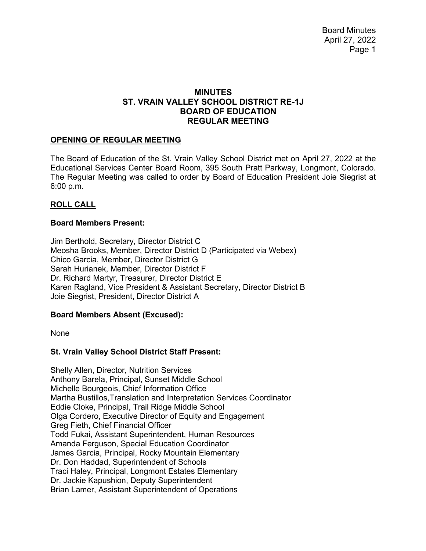# **MINUTES ST. VRAIN VALLEY SCHOOL DISTRICT RE-1J BOARD OF EDUCATION REGULAR MEETING**

## **OPENING OF REGULAR MEETING**

The Board of Education of the St. Vrain Valley School District met on April 27, 2022 at the Educational Services Center Board Room, 395 South Pratt Parkway, Longmont, Colorado. The Regular Meeting was called to order by Board of Education President Joie Siegrist at 6:00 p.m.

## **ROLL CALL**

## **Board Members Present:**

Jim Berthold, Secretary, Director District C Meosha Brooks, Member, Director District D (Participated via Webex) Chico Garcia, Member, Director District G Sarah Hurianek, Member, Director District F Dr. Richard Martyr, Treasurer, Director District E Karen Ragland, Vice President & Assistant Secretary, Director District B Joie Siegrist, President, Director District A

#### **Board Members Absent (Excused):**

None

# **St. Vrain Valley School District Staff Present:**

Shelly Allen, Director, Nutrition Services Anthony Barela, Principal, Sunset Middle School Michelle Bourgeois, Chief Information Office Martha Bustillos,Translation and Interpretation Services Coordinator Eddie Cloke, Principal, Trail Ridge Middle School Olga Cordero, Executive Director of Equity and Engagement Greg Fieth, Chief Financial Officer Todd Fukai, Assistant Superintendent, Human Resources Amanda Ferguson, Special Education Coordinator James Garcia, Principal, Rocky Mountain Elementary Dr. Don Haddad, Superintendent of Schools Traci Haley, Principal, Longmont Estates Elementary Dr. Jackie Kapushion, Deputy Superintendent Brian Lamer, Assistant Superintendent of Operations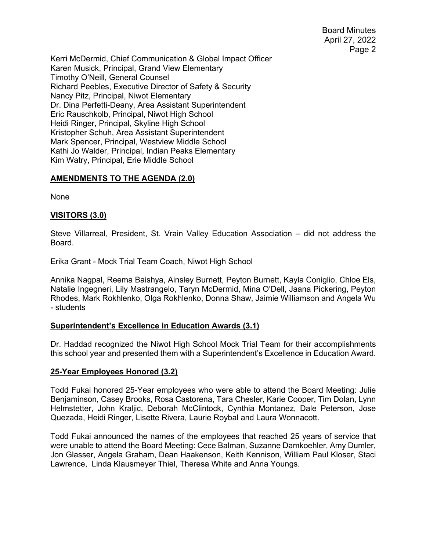Board Minutes April 27, 2022 Page 2

Kerri McDermid, Chief Communication & Global Impact Officer Karen Musick, Principal, Grand View Elementary Timothy O'Neill, General Counsel Richard Peebles, Executive Director of Safety & Security Nancy Pitz, Principal, Niwot Elementary Dr. Dina Perfetti-Deany, Area Assistant Superintendent Eric Rauschkolb, Principal, Niwot High School Heidi Ringer, Principal, Skyline High School Kristopher Schuh, Area Assistant Superintendent Mark Spencer, Principal, Westview Middle School Kathi Jo Walder, Principal, Indian Peaks Elementary Kim Watry, Principal, Erie Middle School

## **AMENDMENTS TO THE AGENDA (2.0)**

None

## **VISITORS (3.0)**

Steve Villarreal, President, St. Vrain Valley Education Association – did not address the Board.

Erika Grant - Mock Trial Team Coach, Niwot High School

Annika Nagpal, Reema Baishya, Ainsley Burnett, Peyton Burnett, Kayla Coniglio, Chloe Els, Natalie Ingegneri, Lily Mastrangelo, Taryn McDermid, Mina O'Dell, Jaana Pickering, Peyton Rhodes, Mark Rokhlenko, Olga Rokhlenko, Donna Shaw, Jaimie Williamson and Angela Wu - students

#### **Superintendent's Excellence in Education Awards (3.1)**

Dr. Haddad recognized the Niwot High School Mock Trial Team for their accomplishments this school year and presented them with a Superintendent's Excellence in Education Award.

#### **25-Year Employees Honored (3.2)**

Todd Fukai honored 25-Year employees who were able to attend the Board Meeting: Julie Benjaminson, Casey Brooks, Rosa Castorena, Tara Chesler, Karie Cooper, Tim Dolan, Lynn Helmstetter, John Kraljic, Deborah McClintock, Cynthia Montanez, Dale Peterson, Jose Quezada, Heidi Ringer, Lisette Rivera, Laurie Roybal and Laura Wonnacott.

Todd Fukai announced the names of the employees that reached 25 years of service that were unable to attend the Board Meeting: Cece Balman, Suzanne Damkoehler, Amy Dumler, Jon Glasser, Angela Graham, Dean Haakenson, Keith Kennison, William Paul Kloser, Staci Lawrence, Linda Klausmeyer Thiel, Theresa White and Anna Youngs.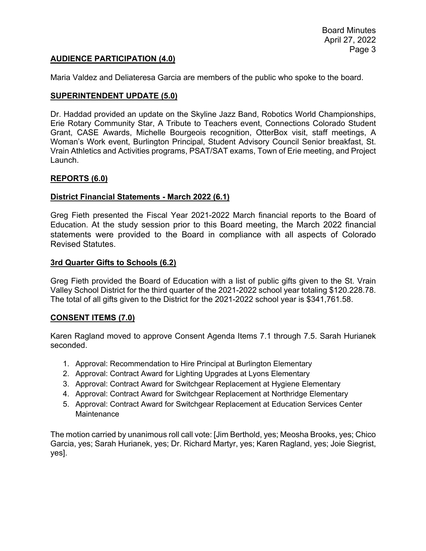## **AUDIENCE PARTICIPATION (4.0)**

Maria Valdez and Deliateresa Garcia are members of the public who spoke to the board.

#### **SUPERINTENDENT UPDATE (5.0)**

Dr. Haddad provided an update on the Skyline Jazz Band, Robotics World Championships, Erie Rotary Community Star, A Tribute to Teachers event, Connections Colorado Student Grant, CASE Awards, Michelle Bourgeois recognition, OtterBox visit, staff meetings, A Woman's Work event, Burlington Principal, Student Advisory Council Senior breakfast, St. Vrain Athletics and Activities programs, PSAT/SAT exams, Town of Erie meeting, and Project Launch.

#### **REPORTS (6.0)**

#### **District Financial Statements - March 2022 (6.1)**

Greg Fieth presented the Fiscal Year 2021-2022 March financial reports to the Board of Education. At the study session prior to this Board meeting, the March 2022 financial statements were provided to the Board in compliance with all aspects of Colorado Revised Statutes.

#### **3rd Quarter Gifts to Schools (6.2)**

Greg Fieth provided the Board of Education with a list of public gifts given to the St. Vrain Valley School District for the third quarter of the 2021-2022 school year totaling \$120.228.78. The total of all gifts given to the District for the 2021-2022 school year is \$341,761.58.

#### **CONSENT ITEMS (7.0)**

Karen Ragland moved to approve Consent Agenda Items 7.1 through 7.5. Sarah Hurianek seconded.

- 1. Approval: Recommendation to Hire Principal at Burlington Elementary
- 2. Approval: Contract Award for Lighting Upgrades at Lyons Elementary
- 3. Approval: Contract Award for Switchgear Replacement at Hygiene Elementary
- 4. Approval: Contract Award for Switchgear Replacement at Northridge Elementary
- 5. Approval: Contract Award for Switchgear Replacement at Education Services Center Maintenance

The motion carried by unanimous roll call vote: [Jim Berthold, yes; Meosha Brooks, yes; Chico Garcia, yes; Sarah Hurianek, yes; Dr. Richard Martyr, yes; Karen Ragland, yes; Joie Siegrist, yes].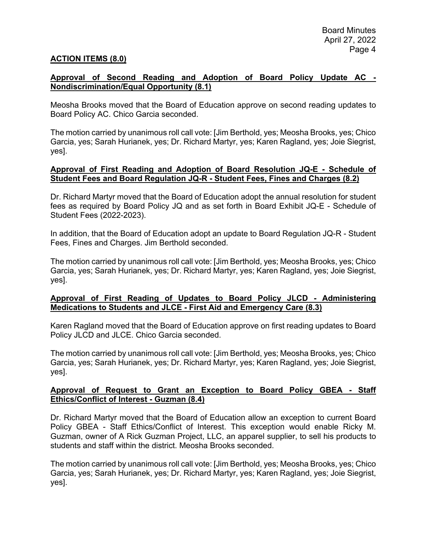### **ACTION ITEMS (8.0)**

### **Approval of Second Reading and Adoption of Board Policy Update AC - Nondiscrimination/Equal Opportunity (8.1)**

Meosha Brooks moved that the Board of Education approve on second reading updates to Board Policy AC. Chico Garcia seconded.

The motion carried by unanimous roll call vote: [Jim Berthold, yes; Meosha Brooks, yes; Chico Garcia, yes; Sarah Hurianek, yes; Dr. Richard Martyr, yes; Karen Ragland, yes; Joie Siegrist, yes].

#### **Approval of First Reading and Adoption of Board Resolution JQ-E - Schedule of Student Fees and Board Regulation JQ-R - Student Fees, Fines and Charges (8.2)**

Dr. Richard Martyr moved that the Board of Education adopt the annual resolution for student fees as required by Board Policy JQ and as set forth in Board Exhibit JQ-E - Schedule of Student Fees (2022-2023).

In addition, that the Board of Education adopt an update to Board Regulation JQ-R - Student Fees, Fines and Charges. Jim Berthold seconded.

The motion carried by unanimous roll call vote: [Jim Berthold, yes; Meosha Brooks, yes; Chico Garcia, yes; Sarah Hurianek, yes; Dr. Richard Martyr, yes; Karen Ragland, yes; Joie Siegrist, yes].

#### **Approval of First Reading of Updates to Board Policy JLCD - Administering Medications to Students and JLCE - First Aid and Emergency Care (8.3)**

Karen Ragland moved that the Board of Education approve on first reading updates to Board Policy JLCD and JLCE. Chico Garcia seconded.

The motion carried by unanimous roll call vote: [Jim Berthold, yes; Meosha Brooks, yes; Chico Garcia, yes; Sarah Hurianek, yes; Dr. Richard Martyr, yes; Karen Ragland, yes; Joie Siegrist, yes].

## **Approval of Request to Grant an Exception to Board Policy GBEA - Staff Ethics/Conflict of Interest - Guzman (8.4)**

Dr. Richard Martyr moved that the Board of Education allow an exception to current Board Policy GBEA - Staff Ethics/Conflict of Interest. This exception would enable Ricky M. Guzman, owner of A Rick Guzman Project, LLC, an apparel supplier, to sell his products to students and staff within the district. Meosha Brooks seconded.

The motion carried by unanimous roll call vote: [Jim Berthold, yes; Meosha Brooks, yes; Chico Garcia, yes; Sarah Hurianek, yes; Dr. Richard Martyr, yes; Karen Ragland, yes; Joie Siegrist, yes].